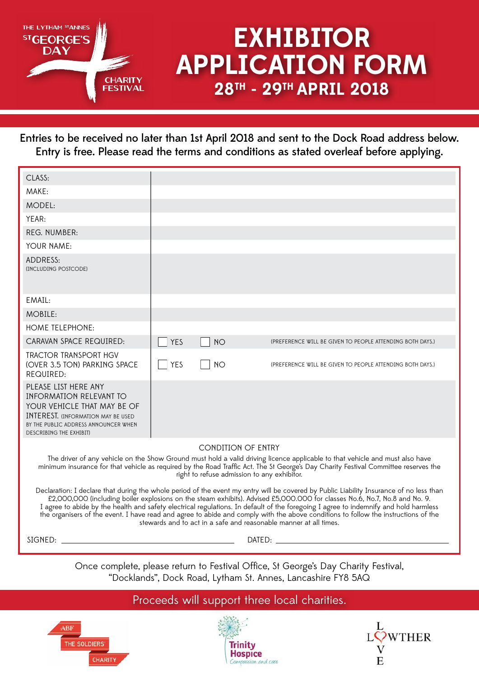

# **EXHIBITOR APPLICATION FORM 28TH - 29TH APRIL 2018**

Entries to be received no later than 1st April 2018 and sent to the Dock Road address below. Entry is free. Please read the terms and conditions as stated overleaf before applying.

| CLASS:                                                                                                                                                                                                                                                                                                                                                                                                                                                                                                                                                                                                                   |            |                           |                                                           |
|--------------------------------------------------------------------------------------------------------------------------------------------------------------------------------------------------------------------------------------------------------------------------------------------------------------------------------------------------------------------------------------------------------------------------------------------------------------------------------------------------------------------------------------------------------------------------------------------------------------------------|------------|---------------------------|-----------------------------------------------------------|
| MAKE:                                                                                                                                                                                                                                                                                                                                                                                                                                                                                                                                                                                                                    |            |                           |                                                           |
| MODEL:                                                                                                                                                                                                                                                                                                                                                                                                                                                                                                                                                                                                                   |            |                           |                                                           |
| YEAR:                                                                                                                                                                                                                                                                                                                                                                                                                                                                                                                                                                                                                    |            |                           |                                                           |
| REG. NUMBER:                                                                                                                                                                                                                                                                                                                                                                                                                                                                                                                                                                                                             |            |                           |                                                           |
| YOUR NAME:                                                                                                                                                                                                                                                                                                                                                                                                                                                                                                                                                                                                               |            |                           |                                                           |
| ADDRESS:<br>(INCLUDING POSTCODE)                                                                                                                                                                                                                                                                                                                                                                                                                                                                                                                                                                                         |            |                           |                                                           |
| EMAIL:                                                                                                                                                                                                                                                                                                                                                                                                                                                                                                                                                                                                                   |            |                           |                                                           |
| MOBILE:                                                                                                                                                                                                                                                                                                                                                                                                                                                                                                                                                                                                                  |            |                           |                                                           |
| HOME TELEPHONE:                                                                                                                                                                                                                                                                                                                                                                                                                                                                                                                                                                                                          |            |                           |                                                           |
| CARAVAN SPACE REQUIRED:                                                                                                                                                                                                                                                                                                                                                                                                                                                                                                                                                                                                  | <b>YES</b> | <b>NO</b>                 | (PREFERENCE WILL BE GIVEN TO PEOPLE ATTENDING BOTH DAYS.) |
| TRACTOR TRANSPORT HGV<br>(OVER 3.5 TON) PARKING SPACE<br>REQUIRED:                                                                                                                                                                                                                                                                                                                                                                                                                                                                                                                                                       | <b>YES</b> | NO                        | (PREFERENCE WILL BE GIVEN TO PEOPLE ATTENDING BOTH DAYS.) |
| PLEASE LIST HERE ANY<br>INFORMATION RELEVANT TO<br>YOUR VEHICLE THAT MAY BE OF<br><b>INTEREST, (INFORMATION MAY BE USED</b><br>BY THE PUBLIC ADDRESS ANNOUNCER WHEN<br>DESCRIBING THE EXHIBIT)                                                                                                                                                                                                                                                                                                                                                                                                                           |            |                           |                                                           |
|                                                                                                                                                                                                                                                                                                                                                                                                                                                                                                                                                                                                                          |            | <b>CONDITION OF ENTRY</b> |                                                           |
| The driver of any vehicle on the Show Ground must hold a valid driving licence applicable to that vehicle and must also have<br>minimum insurance for that vehicle as required by the Road Traffic Act. The St George's Day Charity Festival Committee reserves the<br>right to refuse admission to any exhibitor.                                                                                                                                                                                                                                                                                                       |            |                           |                                                           |
| Declaration: I declare that during the whole period of the event my entry will be covered by Public Liability Insurance of no less than<br>£2,000,000 (including boiler explosions on the steam exhibits). Advised £5,000.000 for classes No.6, No.7, No.8 and No. 9.<br>I agree to abide by the health and safety electrical regulations. In default of the foregoing I agree to indemnify and hold harmless<br>the organisers of the event. I have read and agree to abide and comply with the above conditions to follow the instructions of the<br>stewards and to act in a safe and reasonable manner at all times. |            |                           |                                                           |
|                                                                                                                                                                                                                                                                                                                                                                                                                                                                                                                                                                                                                          |            |                           |                                                           |
| Once complete, please return to Festival Office, St George's Day Charity Festival,                                                                                                                                                                                                                                                                                                                                                                                                                                                                                                                                       |            |                           |                                                           |

"Docklands", Dock Road, Lytham St. Annes, Lancashire FY8 5AQ